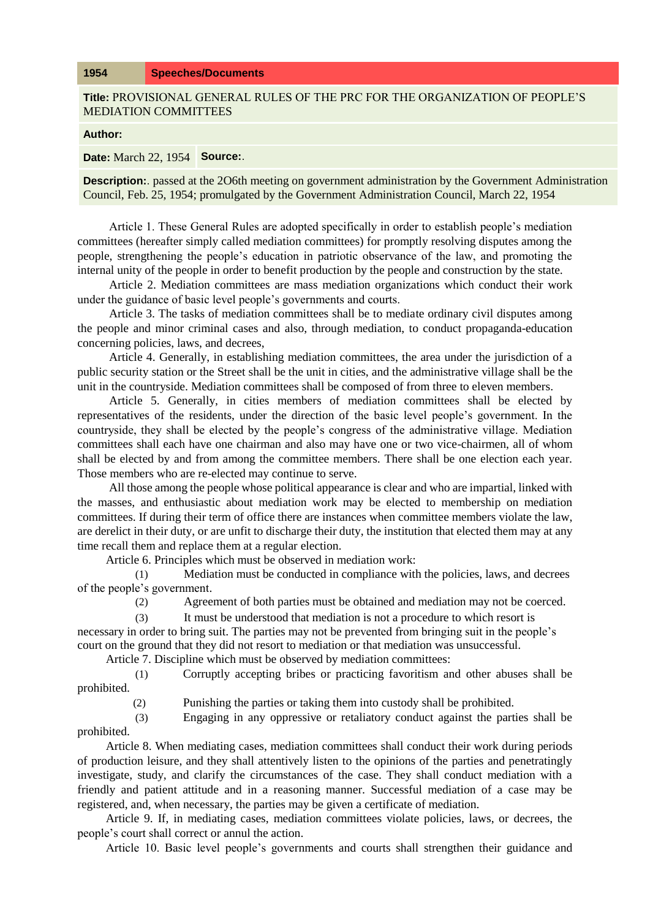## **1954 Speeches/Documents**

**Title:** PROVISIONAL GENERAL RULES OF THE PRC FOR THE ORGANIZATION OF PEOPLE'S MEDIATION COMMITTEES

**Author:** 

**Date:** March 22, 1954 **Source:**.

**Description:**. passed at the 2O6th meeting on government administration by the Government Administration Council, Feb. 25, 1954; promulgated by the Government Administration Council, March 22, 1954

Article 1. These General Rules are adopted specifically in order to establish people's mediation committees (hereafter simply called mediation committees) for promptly resolving disputes among the people, strengthening the people's education in patriotic observance of the law, and promoting the internal unity of the people in order to benefit production by the people and construction by the state.

Article 2. Mediation committees are mass mediation organizations which conduct their work under the guidance of basic level people's governments and courts.

Article 3. The tasks of mediation committees shall be to mediate ordinary civil disputes among the people and minor criminal cases and also, through mediation, to conduct propaganda-education concerning policies, laws, and decrees,

Article 4. Generally, in establishing mediation committees, the area under the jurisdiction of a public security station or the Street shall be the unit in cities, and the administrative village shall be the unit in the countryside. Mediation committees shall be composed of from three to eleven members.

Article 5. Generally, in cities members of mediation committees shall be elected by representatives of the residents, under the direction of the basic level people's government. In the countryside, they shall be elected by the people's congress of the administrative village. Mediation committees shall each have one chairman and also may have one or two vice-chairmen, all of whom shall be elected by and from among the committee members. There shall be one election each year. Those members who are re-elected may continue to serve.

All those among the people whose political appearance is clear and who are impartial, linked with the masses, and enthusiastic about mediation work may be elected to membership on mediation committees. If during their term of office there are instances when committee members violate the law, are derelict in their duty, or are unfit to discharge their duty, the institution that elected them may at any time recall them and replace them at a regular election.

Article 6. Principles which must be observed in mediation work:

(1) Mediation must be conducted in compliance with the policies, laws, and decrees of the people's government.

(2) Agreement of both parties must be obtained and mediation may not be coerced.

(3) It must be understood that mediation is not a procedure to which resort is necessary in order to bring suit. The parties may not be prevented from bringing suit in the people's

court on the ground that they did not resort to mediation or that mediation was unsuccessful. Article 7. Discipline which must be observed by mediation committees:

(1) Corruptly accepting bribes or practicing favoritism and other abuses shall be prohibited.

(2) Punishing the parties or taking them into custody shall be prohibited.

(3) Engaging in any oppressive or retaliatory conduct against the parties shall be prohibited.

Article 8. When mediating cases, mediation committees shall conduct their work during periods of production leisure, and they shall attentively listen to the opinions of the parties and penetratingly investigate, study, and clarify the circumstances of the case. They shall conduct mediation with a friendly and patient attitude and in a reasoning manner. Successful mediation of a case may be registered, and, when necessary, the parties may be given a certificate of mediation.

Article 9. If, in mediating cases, mediation committees violate policies, laws, or decrees, the people's court shall correct or annul the action.

Article 10. Basic level people's governments and courts shall strengthen their guidance and